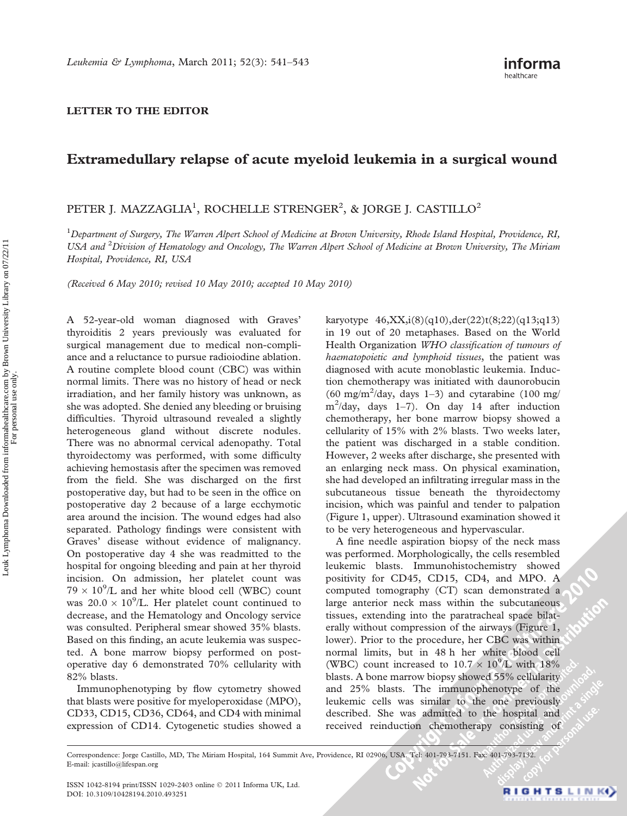## LETTER TO THE EDITOR

## Extramedullary relapse of acute myeloid leukemia in a surgical wound

## PETER J. MAZZAGLIA<sup>1</sup>, ROCHELLE STRENGER<sup>2</sup>, & JORGE J. CASTILLO<sup>2</sup>

<sup>1</sup>Department of Surgery, The Warren Alpert School of Medicine at Brown University, Rhode Island Hospital, Providence, RI, USA and <sup>2</sup> Division of Hematology and Oncology, The Warren Alpert School of Medicine at Brown University, The Miriam Hospital, Providence, RI, USA

(Received 6 May 2010; revised 10 May 2010; accepted 10 May 2010)

A 52-year-old woman diagnosed with Graves' thyroiditis 2 years previously was evaluated for surgical management due to medical non-compliance and a reluctance to pursue radioiodine ablation. A routine complete blood count (CBC) was within normal limits. There was no history of head or neck irradiation, and her family history was unknown, as she was adopted. She denied any bleeding or bruising difficulties. Thyroid ultrasound revealed a slightly heterogeneous gland without discrete nodules. There was no abnormal cervical adenopathy. Total thyroidectomy was performed, with some difficulty achieving hemostasis after the specimen was removed from the field. She was discharged on the first postoperative day, but had to be seen in the office on postoperative day 2 because of a large ecchymotic area around the incision. The wound edges had also separated. Pathology findings were consistent with Graves' disease without evidence of malignancy. On postoperative day 4 she was readmitted to the hospital for ongoing bleeding and pain at her thyroid incision. On admission, her platelet count was  $79 \times 10^9$ /L and her white blood cell (WBC) count was  $20.0 \times 10^9$ /L. Her platelet count continued to decrease, and the Hematology and Oncology service was consulted. Peripheral smear showed 35% blasts. Based on this finding, an acute leukemia was suspected. A bone marrow biopsy performed on postoperative day 6 demonstrated 70% cellularity with 82% blasts.

Immunophenotyping by flow cytometry showed that blasts were positive for myeloperoxidase (MPO), CD33, CD15, CD36, CD64, and CD4 with minimal expression of CD14. Cytogenetic studies showed a karyotype  $46, XX, i(8)(q10), der(22)t(8;22)(q13;q13)$ in 19 out of 20 metaphases. Based on the World Health Organization WHO classification of tumours of haematopoietic and lymphoid tissues, the patient was diagnosed with acute monoblastic leukemia. Induction chemotherapy was initiated with daunorobucin  $(60 \text{ mg/m}^2/\text{day}, \text{days } 1-3)$  and cytarabine  $(100 \text{ mg/m}^2/\text{day}, \text{days } 1-3)$ m<sup>2</sup> /day, days 1–7). On day 14 after induction chemotherapy, her bone marrow biopsy showed a cellularity of 15% with 2% blasts. Two weeks later, the patient was discharged in a stable condition. However, 2 weeks after discharge, she presented with an enlarging neck mass. On physical examination, she had developed an infiltrating irregular mass in the subcutaneous tissue beneath the thyroidectomy incision, which was painful and tender to palpation (Figure 1, upper). Ultrasound examination showed it to be very heterogeneous and hypervascular.

A fine needle aspiration biopsy of the neck mass was performed. Morphologically, the cells resembled leukemic blasts. Immunohistochemistry showed positivity for CD45, CD15, CD4, and MPO. A computed tomography (CT) scan demonstrated a large anterior neck mass within the subcutaneous tissues, extending into the paratracheal space bilaterally without compression of the airways (Figure 1, lower). Prior to the procedure, her CBC was within normal limits, but in 48 h her white blood cell (WBC) count increased to  $10.7 \times 10^9$ /L with 18% blasts. A bone marrow biopsy showed 55% cellularity and 25% blasts. The immunophenotype of the leukemic cells was similar to the one previously described. She was admitted to the hospital and received reinduction chemotherapy consisting of

Correspondence: Jorge Castillo, MD, The Miriam Hospital, 164 Summit Ave, Providence, RI 02906, USA. Tel: 401-793-7151. Fax: 401-793-7132. E-mail: jcastillo@lifespan.org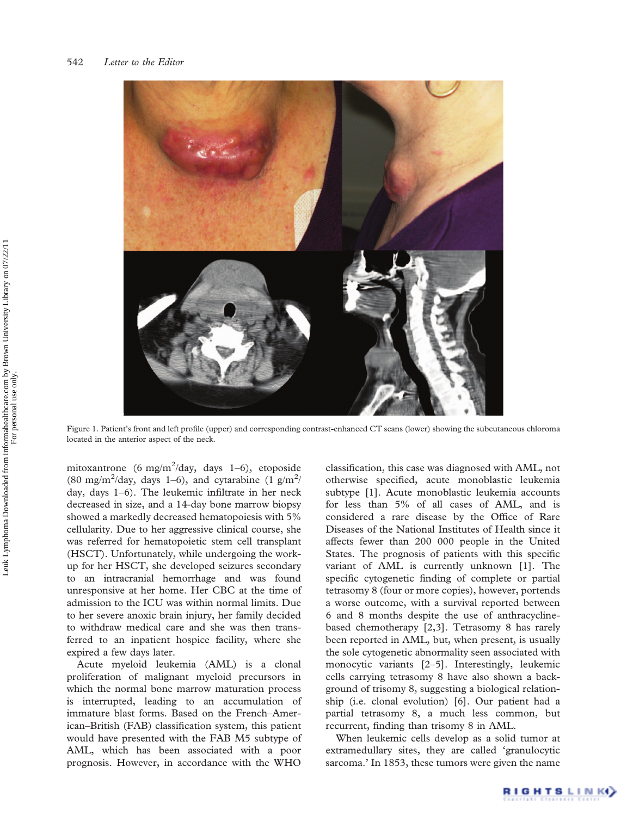

Figure 1. Patient's front and left profile (upper) and corresponding contrast-enhanced CT scans (lower) showing the subcutaneous chloroma located in the anterior aspect of the neck.

mitoxantrone (6 mg/m<sup>2</sup>/day, days 1–6), etoposide (80 mg/m<sup>2</sup>/day, days 1–6), and cytarabine (1 g/m<sup>2</sup>/ day, days 1–6). The leukemic infiltrate in her neck decreased in size, and a 14-day bone marrow biopsy showed a markedly decreased hematopoiesis with 5% cellularity. Due to her aggressive clinical course, she was referred for hematopoietic stem cell transplant (HSCT). Unfortunately, while undergoing the workup for her HSCT, she developed seizures secondary to an intracranial hemorrhage and was found unresponsive at her home. Her CBC at the time of admission to the ICU was within normal limits. Due to her severe anoxic brain injury, her family decided to withdraw medical care and she was then transferred to an inpatient hospice facility, where she expired a few days later.

Acute myeloid leukemia (AML) is a clonal proliferation of malignant myeloid precursors in which the normal bone marrow maturation process is interrupted, leading to an accumulation of immature blast forms. Based on the French–American–British (FAB) classification system, this patient would have presented with the FAB M5 subtype of AML, which has been associated with a poor prognosis. However, in accordance with the WHO

classification, this case was diagnosed with AML, not otherwise specified, acute monoblastic leukemia subtype [1]. Acute monoblastic leukemia accounts for less than 5% of all cases of AML, and is considered a rare disease by the Office of Rare Diseases of the National Institutes of Health since it affects fewer than 200 000 people in the United States. The prognosis of patients with this specific variant of AML is currently unknown [1]. The specific cytogenetic finding of complete or partial tetrasomy 8 (four or more copies), however, portends a worse outcome, with a survival reported between 6 and 8 months despite the use of anthracyclinebased chemotherapy [2,3]. Tetrasomy 8 has rarely been reported in AML, but, when present, is usually the sole cytogenetic abnormality seen associated with monocytic variants [2–5]. Interestingly, leukemic cells carrying tetrasomy 8 have also shown a background of trisomy 8, suggesting a biological relationship (i.e. clonal evolution) [6]. Our patient had a partial tetrasomy 8, a much less common, but recurrent, finding than trisomy 8 in AML.

When leukemic cells develop as a solid tumor at extramedullary sites, they are called 'granulocytic sarcoma.' In 1853, these tumors were given the name